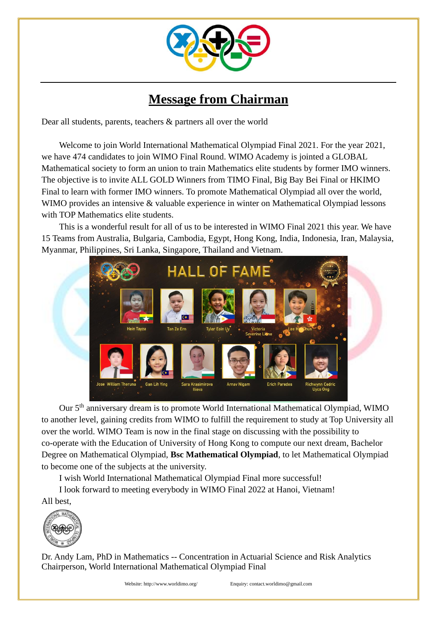

## **Message from Chairman**

Dear all students, parents, teachers & partners all over the world

Welcome to join World International Mathematical Olympiad Final 2021. For the year 2021, we have 474 candidates to join WIMO Final Round. WIMO Academy is jointed a GLOBAL Mathematical society to form an union to train Mathematics elite students by former IMO winners. The objective is to invite ALL GOLD Winners from TIMO Final, Big Bay Bei Final or HKIMO Final to learn with former IMO winners. To promote Mathematical Olympiad all over the world, WIMO provides an intensive & valuable experience in winter on Mathematical Olympiad lessons with TOP Mathematics elite students.

This is a wonderful result for all of us to be interested in WIMO Final 2021 this year. We have 15 Teams from Australia, Bulgaria, Cambodia, Egypt, Hong Kong, India, Indonesia, Iran, Malaysia, Myanmar, Philippines, Sri Lanka, Singapore, Thailand and Vietnam.



Our 5<sup>th</sup> anniversary dream is to promote World International Mathematical Olympiad, WIMO to another level, gaining credits from WIMO to fulfill the requirement to study at Top University all over the world. WIMO Team is now in the final stage on discussing with the possibility to co-operate with the Education of University of Hong Kong to compute our next dream, Bachelor Degree on Mathematical Olympiad, **Bsc Mathematical Olympiad**, to let Mathematical Olympiad to become one of the subjects at the university.

I wish World International Mathematical Olympiad Final more successful!

I look forward to meeting everybody in WIMO Final 2022 at Hanoi, Vietnam! All best,



Dr. Andy Lam, PhD in Mathematics -- Concentration in Actuarial Science and Risk Analytics Chairperson, World International Mathematical Olympiad Final